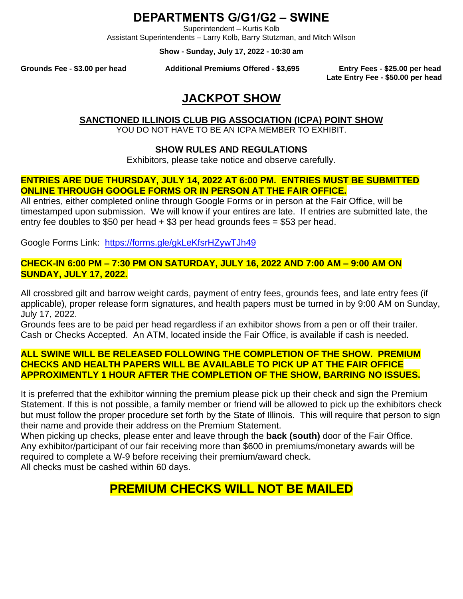## **DEPARTMENTS G/G1/G2 – SWINE**

Superintendent – Kurtis Kolb

Assistant Superintendents – Larry Kolb, Barry Stutzman, and Mitch Wilson

**Show - Sunday, July 17, 2022 - 10:30 am**

**Grounds Fee - \$3.00 per head Additional Premiums Offered - \$3,695 Entry Fees - \$25.00 per head**

**Late Entry Fee - \$50.00 per head**

# **JACKPOT SHOW**

**SANCTIONED ILLINOIS CLUB PIG ASSOCIATION (ICPA) POINT SHOW**

YOU DO NOT HAVE TO BE AN ICPA MEMBER TO EXHIBIT.

#### **SHOW RULES AND REGULATIONS**

Exhibitors, please take notice and observe carefully.

#### **ENTRIES ARE DUE THURSDAY, JULY 14, 2022 AT 6:00 PM. ENTRIES MUST BE SUBMITTED ONLINE THROUGH GOOGLE FORMS OR IN PERSON AT THE FAIR OFFICE.**

All entries, either completed online through Google Forms or in person at the Fair Office, will be timestamped upon submission. We will know if your entires are late. If entries are submitted late, the entry fee doubles to \$50 per head  $+$  \$3 per head grounds fees = \$53 per head.

Google Forms Link: <https://forms.gle/gkLeKfsrHZywTJh49>

#### **CHECK-IN 6:00 PM – 7:30 PM ON SATURDAY, JULY 16, 2022 AND 7:00 AM – 9:00 AM ON SUNDAY, JULY 17, 2022.**

All crossbred gilt and barrow weight cards, payment of entry fees, grounds fees, and late entry fees (if applicable), proper release form signatures, and health papers must be turned in by 9:00 AM on Sunday, July 17, 2022.

Grounds fees are to be paid per head regardless if an exhibitor shows from a pen or off their trailer. Cash or Checks Accepted. An ATM, located inside the Fair Office, is available if cash is needed.

#### **ALL SWINE WILL BE RELEASED FOLLOWING THE COMPLETION OF THE SHOW. PREMIUM CHECKS AND HEALTH PAPERS WILL BE AVAILABLE TO PICK UP AT THE FAIR OFFICE APPROXIMENTLY 1 HOUR AFTER THE COMPLETION OF THE SHOW, BARRING NO ISSUES.**

It is preferred that the exhibitor winning the premium please pick up their check and sign the Premium Statement. If this is not possible, a family member or friend will be allowed to pick up the exhibitors check but must follow the proper procedure set forth by the State of Illinois. This will require that person to sign their name and provide their address on the Premium Statement.

When picking up checks, please enter and leave through the **back (south)** door of the Fair Office. Any exhibitor/participant of our fair receiving more than \$600 in premiums/monetary awards will be required to complete a W-9 before receiving their premium/award check. All checks must be cashed within 60 days.

# **PREMIUM CHECKS WILL NOT BE MAILED**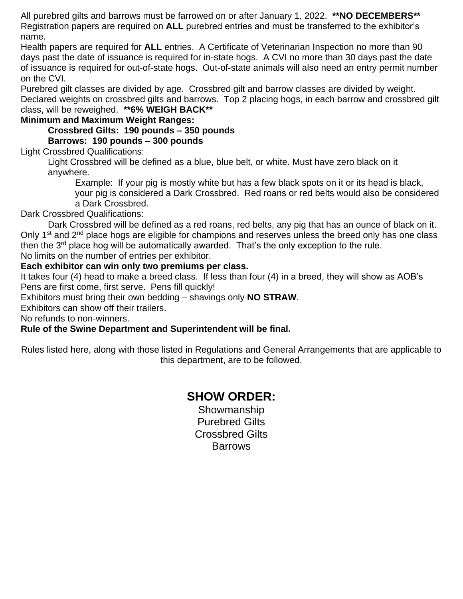All purebred gilts and barrows must be farrowed on or after January 1, 2022. **\*\*NO DECEMBERS\*\*** Registration papers are required on **ALL** purebred entries and must be transferred to the exhibitor's name.

Health papers are required for **ALL** entries. A Certificate of Veterinarian Inspection no more than 90 days past the date of issuance is required for in-state hogs. A CVI no more than 30 days past the date of issuance is required for out-of-state hogs. Out-of-state animals will also need an entry permit number on the CVI.

Purebred gilt classes are divided by age. Crossbred gilt and barrow classes are divided by weight. Declared weights on crossbred gilts and barrows. Top 2 placing hogs, in each barrow and crossbred gilt class, will be reweighed. **\*\*6% WEIGH BACK\*\***

**Minimum and Maximum Weight Ranges:**

**Crossbred Gilts: 190 pounds – 350 pounds Barrows: 190 pounds – 300 pounds**

Light Crossbred Qualifications:

Light Crossbred will be defined as a blue, blue belt, or white. Must have zero black on it anywhere.

Example: If your pig is mostly white but has a few black spots on it or its head is black, your pig is considered a Dark Crossbred. Red roans or red belts would also be considered a Dark Crossbred.

Dark Crossbred Qualifications:

Dark Crossbred will be defined as a red roans, red belts, any pig that has an ounce of black on it. Only 1<sup>st</sup> and 2<sup>nd</sup> place hogs are eligible for champions and reserves unless the breed only has one class then the  $3<sup>rd</sup>$  place hog will be automatically awarded. That's the only exception to the rule. No limits on the number of entries per exhibitor.

#### **Each exhibitor can win only two premiums per class.**

It takes four (4) head to make a breed class. If less than four (4) in a breed, they will show as AOB's Pens are first come, first serve. Pens fill quickly!

Exhibitors must bring their own bedding – shavings only **NO STRAW**.

Exhibitors can show off their trailers.

No refunds to non-winners.

#### **Rule of the Swine Department and Superintendent will be final.**

Rules listed here, along with those listed in Regulations and General Arrangements that are applicable to this department, are to be followed.

### **SHOW ORDER:**

Showmanship Purebred Gilts Crossbred Gilts **Barrows**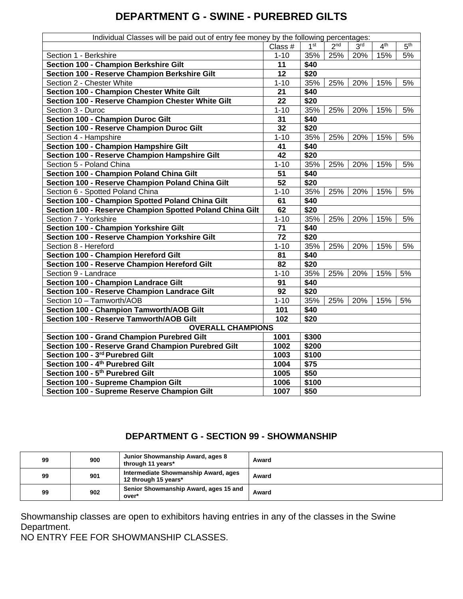## **DEPARTMENT G - SWINE - PUREBRED GILTS**

| Individual Classes will be paid out of entry fee money by the following percentages: |                 |                 |                 |                 |                 |                 |  |  |
|--------------------------------------------------------------------------------------|-----------------|-----------------|-----------------|-----------------|-----------------|-----------------|--|--|
|                                                                                      | Class #         | 1 <sup>st</sup> | 2 <sup>nd</sup> | 3 <sup>rd</sup> | 4 <sup>th</sup> | 5 <sup>th</sup> |  |  |
| Section 1 - Berkshire                                                                | $1 - 10$        | 35%             | 25%             | 20%             | 15%             | 5%              |  |  |
| Section 100 - Champion Berkshire Gilt                                                | 11              | \$40            |                 |                 |                 |                 |  |  |
| Section 100 - Reserve Champion Berkshire Gilt                                        | $\overline{12}$ | \$20            |                 |                 |                 |                 |  |  |
| Section 2 - Chester White                                                            | $1 - 10$        | 35%             | 25%             | 20%             | 15%             | 5%              |  |  |
| Section 100 - Champion Chester White Gilt                                            | 21              | \$40            |                 |                 |                 |                 |  |  |
| Section 100 - Reserve Champion Chester White Gilt                                    | 22              | \$20            |                 |                 |                 |                 |  |  |
| Section 3 - Duroc                                                                    | $1 - 10$        | 35%             | 25%             | 20%             | 15%             | 5%              |  |  |
| <b>Section 100 - Champion Duroc Gilt</b>                                             | 31              | \$40            |                 |                 |                 |                 |  |  |
| Section 100 - Reserve Champion Duroc Gilt                                            | 32              | \$20            |                 |                 |                 |                 |  |  |
| Section 4 - Hampshire                                                                | $1 - 10$        | 35%             | 25%             | 20%             | 15%             | 5%              |  |  |
| Section 100 - Champion Hampshire Gilt                                                | 41              | \$40            |                 |                 |                 |                 |  |  |
| <b>Section 100 - Reserve Champion Hampshire Gilt</b>                                 | 42              | \$20            |                 |                 |                 |                 |  |  |
| Section 5 - Poland China                                                             | $1 - 10$        | 35%             | 25%             | 20%             | 15%             | 5%              |  |  |
| Section 100 - Champion Poland China Gilt                                             | $\overline{51}$ | \$40            |                 |                 |                 |                 |  |  |
| Section 100 - Reserve Champion Poland China Gilt                                     | $\overline{52}$ | \$20            |                 |                 |                 |                 |  |  |
| Section 6 - Spotted Poland China                                                     | $1 - 10$        | 35%             | 25%             | 20%             | 15%             | 5%              |  |  |
| Section 100 - Champion Spotted Poland China Gilt                                     | 61              | \$40            |                 |                 |                 |                 |  |  |
| Section 100 - Reserve Champion Spotted Poland China Gilt                             | 62              | \$20            |                 |                 |                 |                 |  |  |
| Section 7 - Yorkshire                                                                | $1 - 10$        | 35%             | 25%             | 20%             | 15%             | 5%              |  |  |
| Section 100 - Champion Yorkshire Gilt                                                | 71              | \$40            |                 |                 |                 |                 |  |  |
| Section 100 - Reserve Champion Yorkshire Gilt                                        | 72              | \$20            |                 |                 |                 |                 |  |  |
| Section 8 - Hereford                                                                 | $1 - 10$        | 35%             | 25%             | 20%             | 15%             | 5%              |  |  |
| Section 100 - Champion Hereford Gilt                                                 | 81              | \$40            |                 |                 |                 |                 |  |  |
| Section 100 - Reserve Champion Hereford Gilt                                         | 82              | \$20            |                 |                 |                 |                 |  |  |
| Section 9 - Landrace                                                                 | $1 - 10$        | 35%             | 25%             | 20%             | 15%             | 5%              |  |  |
| Section 100 - Champion Landrace Gilt                                                 | 91              | \$40            |                 |                 |                 |                 |  |  |
| Section 100 - Reserve Champion Landrace Gilt                                         | 92              | \$20            |                 |                 |                 |                 |  |  |
| Section 10 - Tamworth/AOB                                                            | $1 - 10$        | 35%             | 25%             | 20%             | 15%             | 5%              |  |  |
| <b>Section 100 - Champion Tamworth/AOB Gilt</b>                                      | 101             | \$40            |                 |                 |                 |                 |  |  |
| Section 100 - Reserve Tamworth/AOB Gilt                                              | 102             | \$20            |                 |                 |                 |                 |  |  |
| <b>OVERALL CHAMPIONS</b>                                                             |                 |                 |                 |                 |                 |                 |  |  |
| Section 100 - Grand Champion Purebred Gilt                                           | 1001            | \$300           |                 |                 |                 |                 |  |  |
| Section 100 - Reserve Grand Champion Purebred Gilt                                   | 1002            | \$200           |                 |                 |                 |                 |  |  |
| Section 100 - 3rd Purebred Gilt                                                      | 1003            | \$100           |                 |                 |                 |                 |  |  |
| Section 100 - 4 <sup>th</sup> Purebred Gilt                                          | 1004            | \$75            |                 |                 |                 |                 |  |  |
| Section 100 - 5 <sup>th</sup> Purebred Gilt                                          | 1005            | \$50            |                 |                 |                 |                 |  |  |
| Section 100 - Supreme Champion Gilt                                                  | 1006            | \$100           |                 |                 |                 |                 |  |  |
| Section 100 - Supreme Reserve Champion Gilt                                          | 1007            | \$50            |                 |                 |                 |                 |  |  |

#### **DEPARTMENT G - SECTION 99 - SHOWMANSHIP**

| 99 | 900 | Junior Showmanship Award, ages 8<br>through 11 years*        | Award |
|----|-----|--------------------------------------------------------------|-------|
| 99 | 901 | Intermediate Showmanship Award, ages<br>12 through 15 years* | Award |
| 99 | 902 | Senior Showmanship Award, ages 15 and<br>over*               | Award |

Showmanship classes are open to exhibitors having entries in any of the classes in the Swine Department.

NO ENTRY FEE FOR SHOWMANSHIP CLASSES.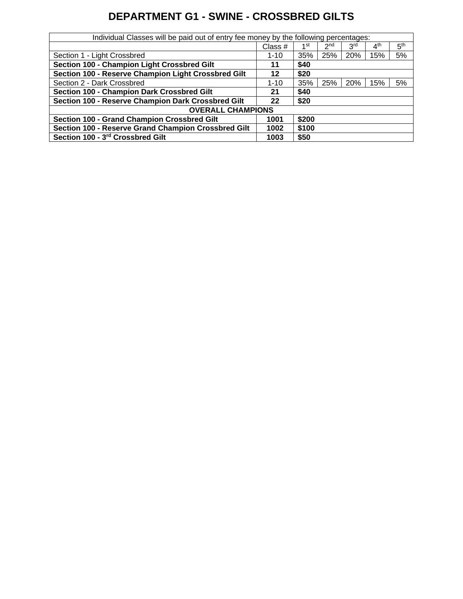## **DEPARTMENT G1 - SWINE - CROSSBRED GILTS**

| Individual Classes will be paid out of entry fee money by the following percentages: |          |       |                 |                 |                 |                 |  |  |
|--------------------------------------------------------------------------------------|----------|-------|-----------------|-----------------|-----------------|-----------------|--|--|
|                                                                                      | Class #  | 1st   | 2 <sub>nd</sub> | 3 <sup>rd</sup> | 4 <sup>th</sup> | 5 <sup>th</sup> |  |  |
| Section 1 - Light Crossbred                                                          | $1 - 10$ | 35%   | 25%             | 20%             | 15%             | 5%              |  |  |
| Section 100 - Champion Light Crossbred Gilt                                          | 11       | \$40  |                 |                 |                 |                 |  |  |
| Section 100 - Reserve Champion Light Crossbred Gilt                                  | 12       | \$20  |                 |                 |                 |                 |  |  |
| Section 2 - Dark Crossbred                                                           | $1 - 10$ | 35%   | 25%             | 20%             | 15%             | 5%              |  |  |
| Section 100 - Champion Dark Crossbred Gilt                                           | 21       | \$40  |                 |                 |                 |                 |  |  |
| Section 100 - Reserve Champion Dark Crossbred Gilt                                   | 22       | \$20  |                 |                 |                 |                 |  |  |
| <b>OVERALL CHAMPIONS</b>                                                             |          |       |                 |                 |                 |                 |  |  |
| Section 100 - Grand Champion Crossbred Gilt                                          | 1001     | \$200 |                 |                 |                 |                 |  |  |
| Section 100 - Reserve Grand Champion Crossbred Gilt                                  | 1002     | \$100 |                 |                 |                 |                 |  |  |
| Section 100 - 3rd Crossbred Gilt                                                     | 1003     | \$50  |                 |                 |                 |                 |  |  |